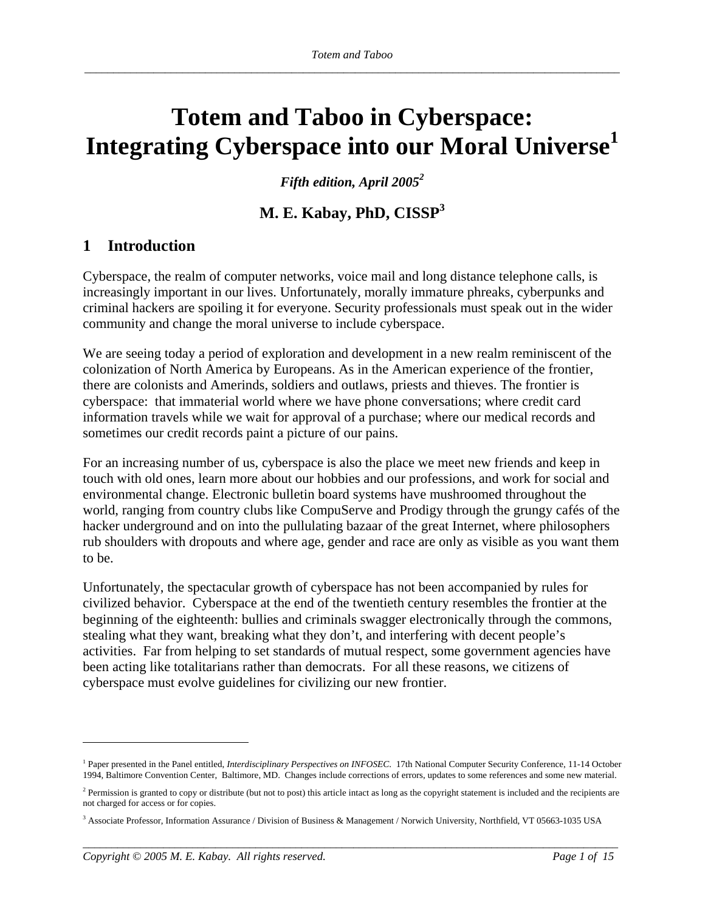## **Totem and Taboo in Cyberspace:**  Integrating Cyberspace into our Moral Universe<sup>1</sup>

*Fifth edition, April 20052*

## **M. E. Kabay, PhD, CISSP<sup>3</sup>**

## **1 Introduction**

Cyberspace, the realm of computer networks, voice mail and long distance telephone calls, is increasingly important in our lives. Unfortunately, morally immature phreaks, cyberpunks and criminal hackers are spoiling it for everyone. Security professionals must speak out in the wider community and change the moral universe to include cyberspace.

We are seeing today a period of exploration and development in a new realm reminiscent of the colonization of North America by Europeans. As in the American experience of the frontier, there are colonists and Amerinds, soldiers and outlaws, priests and thieves. The frontier is cyberspace: that immaterial world where we have phone conversations; where credit card information travels while we wait for approval of a purchase; where our medical records and sometimes our credit records paint a picture of our pains.

For an increasing number of us, cyberspace is also the place we meet new friends and keep in touch with old ones, learn more about our hobbies and our professions, and work for social and environmental change. Electronic bulletin board systems have mushroomed throughout the world, ranging from country clubs like CompuServe and Prodigy through the grungy cafés of the hacker underground and on into the pullulating bazaar of the great Internet, where philosophers rub shoulders with dropouts and where age, gender and race are only as visible as you want them to be.

Unfortunately, the spectacular growth of cyberspace has not been accompanied by rules for civilized behavior. Cyberspace at the end of the twentieth century resembles the frontier at the beginning of the eighteenth: bullies and criminals swagger electronically through the commons, stealing what they want, breaking what they don't, and interfering with decent people's activities. Far from helping to set standards of mutual respect, some government agencies have been acting like totalitarians rather than democrats. For all these reasons, we citizens of cyberspace must evolve guidelines for civilizing our new frontier.

*\_\_\_\_\_\_\_\_\_\_\_\_\_\_\_\_\_\_\_\_\_\_\_\_\_\_\_\_\_\_\_\_\_\_\_\_\_\_\_\_\_\_\_\_\_\_\_\_\_\_\_\_\_\_\_\_\_\_\_\_\_\_\_\_\_\_\_\_\_\_\_\_\_\_\_\_\_\_\_\_\_\_\_\_\_\_\_\_\_\_\_\_\_* 

<sup>&</sup>lt;sup>1</sup> Paper presented in the Panel entitled, *Interdisciplinary Perspectives on INFOSEC*. 17th National Computer Security Conference, 11-14 October 1994, Baltimore Convention Center, Baltimore, MD. Changes include corrections of errors, updates to some references and some new material.

<sup>&</sup>lt;sup>2</sup> Permission is granted to copy or distribute (but not to post) this article intact as long as the copyright statement is included and the recipients are not charged for access or for copies.

<sup>3</sup> Associate Professor, Information Assurance / Division of Business & Management / Norwich University, Northfield, VT 05663-1035 USA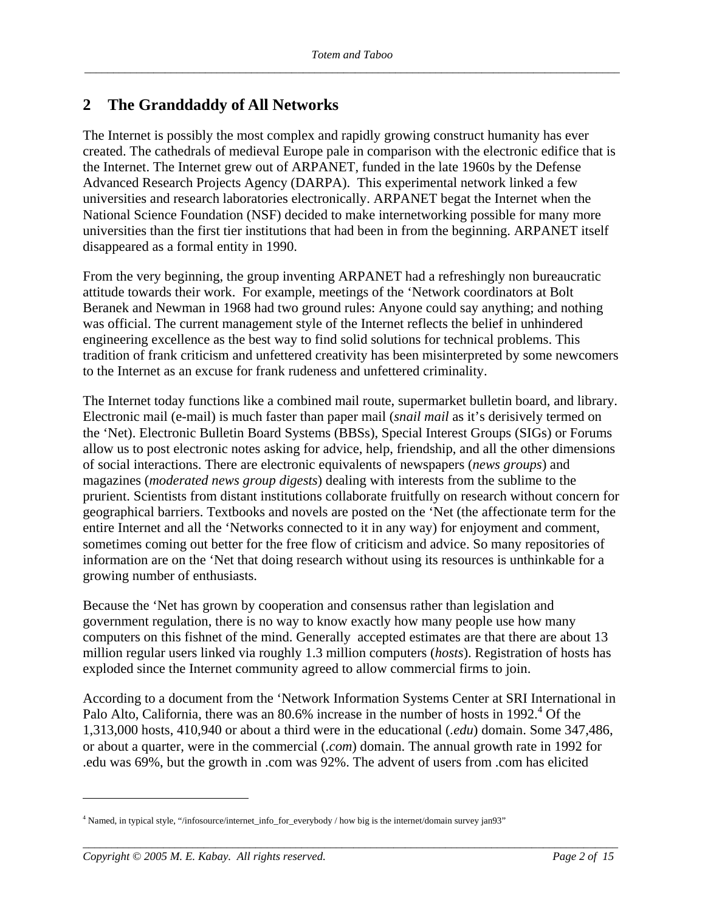## **2 The Granddaddy of All Networks**

The Internet is possibly the most complex and rapidly growing construct humanity has ever created. The cathedrals of medieval Europe pale in comparison with the electronic edifice that is the Internet. The Internet grew out of ARPANET, funded in the late 1960s by the Defense Advanced Research Projects Agency (DARPA). This experimental network linked a few universities and research laboratories electronically. ARPANET begat the Internet when the National Science Foundation (NSF) decided to make internetworking possible for many more universities than the first tier institutions that had been in from the beginning. ARPANET itself disappeared as a formal entity in 1990.

From the very beginning, the group inventing ARPANET had a refreshingly non bureaucratic attitude towards their work. For example, meetings of the 'Network coordinators at Bolt Beranek and Newman in 1968 had two ground rules: Anyone could say anything; and nothing was official. The current management style of the Internet reflects the belief in unhindered engineering excellence as the best way to find solid solutions for technical problems. This tradition of frank criticism and unfettered creativity has been misinterpreted by some newcomers to the Internet as an excuse for frank rudeness and unfettered criminality.

The Internet today functions like a combined mail route, supermarket bulletin board, and library. Electronic mail (e-mail) is much faster than paper mail (*snail mail* as it's derisively termed on the 'Net). Electronic Bulletin Board Systems (BBSs), Special Interest Groups (SIGs) or Forums allow us to post electronic notes asking for advice, help, friendship, and all the other dimensions of social interactions. There are electronic equivalents of newspapers (*news groups*) and magazines (*moderated news group digests*) dealing with interests from the sublime to the prurient. Scientists from distant institutions collaborate fruitfully on research without concern for geographical barriers. Textbooks and novels are posted on the 'Net (the affectionate term for the entire Internet and all the 'Networks connected to it in any way) for enjoyment and comment, sometimes coming out better for the free flow of criticism and advice. So many repositories of information are on the 'Net that doing research without using its resources is unthinkable for a growing number of enthusiasts.

Because the 'Net has grown by cooperation and consensus rather than legislation and government regulation, there is no way to know exactly how many people use how many computers on this fishnet of the mind. Generally accepted estimates are that there are about 13 million regular users linked via roughly 1.3 million computers (*hosts*). Registration of hosts has exploded since the Internet community agreed to allow commercial firms to join.

According to a document from the 'Network Information Systems Center at SRI International in Palo Alto, California, there was an 80.6% increase in the number of hosts in 1992.<sup>4</sup> Of the 1,313,000 hosts, 410,940 or about a third were in the educational (*.edu*) domain. Some 347,486, or about a quarter, were in the commercial (*.com*) domain. The annual growth rate in 1992 for .edu was 69%, but the growth in .com was 92%. The advent of users from .com has elicited

*\_\_\_\_\_\_\_\_\_\_\_\_\_\_\_\_\_\_\_\_\_\_\_\_\_\_\_\_\_\_\_\_\_\_\_\_\_\_\_\_\_\_\_\_\_\_\_\_\_\_\_\_\_\_\_\_\_\_\_\_\_\_\_\_\_\_\_\_\_\_\_\_\_\_\_\_\_\_\_\_\_\_\_\_\_\_\_\_\_\_\_\_\_* 

<sup>4</sup> Named, in typical style, "/infosource/internet\_info\_for\_everybody / how big is the internet/domain survey jan93"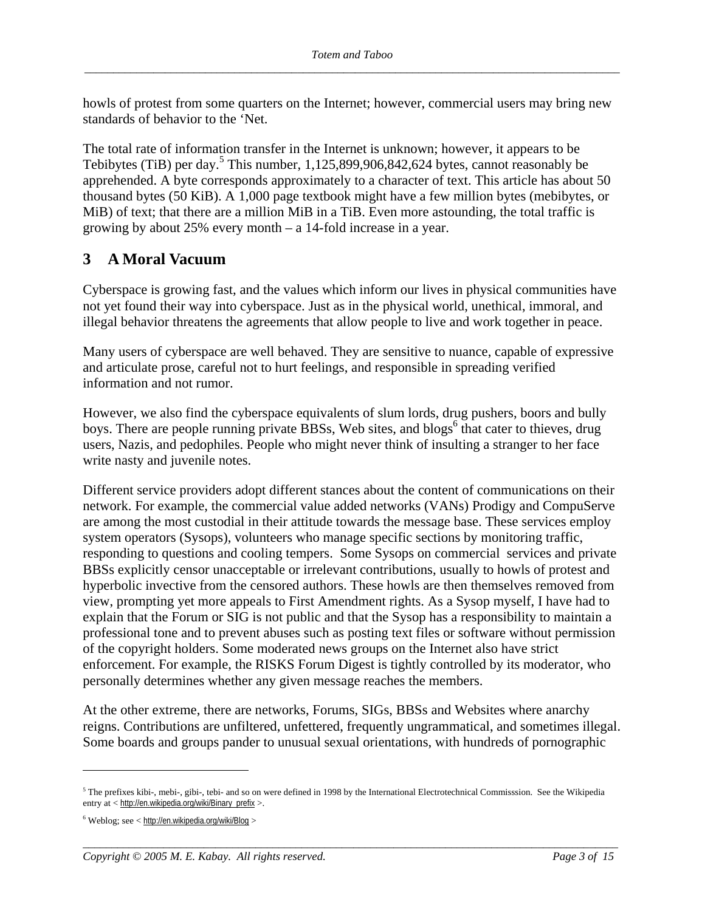howls of protest from some quarters on the Internet; however, commercial users may bring new standards of behavior to the 'Net.

The total rate of information transfer in the Internet is unknown; however, it appears to be Tebibytes (TiB) per day.<sup>5</sup> This number,  $1,125,899,906,842,624$  bytes, cannot reasonably be apprehended. A byte corresponds approximately to a character of text. This article has about 50 thousand bytes (50 KiB). A 1,000 page textbook might have a few million bytes (mebibytes, or MiB) of text; that there are a million MiB in a TiB. Even more astounding, the total traffic is growing by about 25% every month – a 14-fold increase in a year.

## **3 A Moral Vacuum**

Cyberspace is growing fast, and the values which inform our lives in physical communities have not yet found their way into cyberspace. Just as in the physical world, unethical, immoral, and illegal behavior threatens the agreements that allow people to live and work together in peace.

Many users of cyberspace are well behaved. They are sensitive to nuance, capable of expressive and articulate prose, careful not to hurt feelings, and responsible in spreading verified information and not rumor.

However, we also find the cyberspace equivalents of slum lords, drug pushers, boors and bully boys. There are people running private BBSs, Web sites, and blogs<sup>6</sup> that cater to thieves, drug users, Nazis, and pedophiles. People who might never think of insulting a stranger to her face write nasty and juvenile notes.

Different service providers adopt different stances about the content of communications on their network. For example, the commercial value added networks (VANs) Prodigy and CompuServe are among the most custodial in their attitude towards the message base. These services employ system operators (Sysops), volunteers who manage specific sections by monitoring traffic, responding to questions and cooling tempers. Some Sysops on commercial services and private BBSs explicitly censor unacceptable or irrelevant contributions, usually to howls of protest and hyperbolic invective from the censored authors. These howls are then themselves removed from view, prompting yet more appeals to First Amendment rights. As a Sysop myself, I have had to explain that the Forum or SIG is not public and that the Sysop has a responsibility to maintain a professional tone and to prevent abuses such as posting text files or software without permission of the copyright holders. Some moderated news groups on the Internet also have strict enforcement. For example, the RISKS Forum Digest is tightly controlled by its moderator, who personally determines whether any given message reaches the members.

At the other extreme, there are networks, Forums, SIGs, BBSs and Websites where anarchy reigns. Contributions are unfiltered, unfettered, frequently ungrammatical, and sometimes illegal. Some boards and groups pander to unusual sexual orientations, with hundreds of pornographic

*\_\_\_\_\_\_\_\_\_\_\_\_\_\_\_\_\_\_\_\_\_\_\_\_\_\_\_\_\_\_\_\_\_\_\_\_\_\_\_\_\_\_\_\_\_\_\_\_\_\_\_\_\_\_\_\_\_\_\_\_\_\_\_\_\_\_\_\_\_\_\_\_\_\_\_\_\_\_\_\_\_\_\_\_\_\_\_\_\_\_\_\_\_* 

 $5$  The prefixes kibi-, mebi-, gibi-, tebi- and so on were defined in 1998 by the International Electrotechnical Commisssion. See the Wikipedia entry at < http://en.wikipedia.org/wiki/Binary\_prefix >.

 $6$  Weblog; see < http://en.wikipedia.org/wiki/Blog >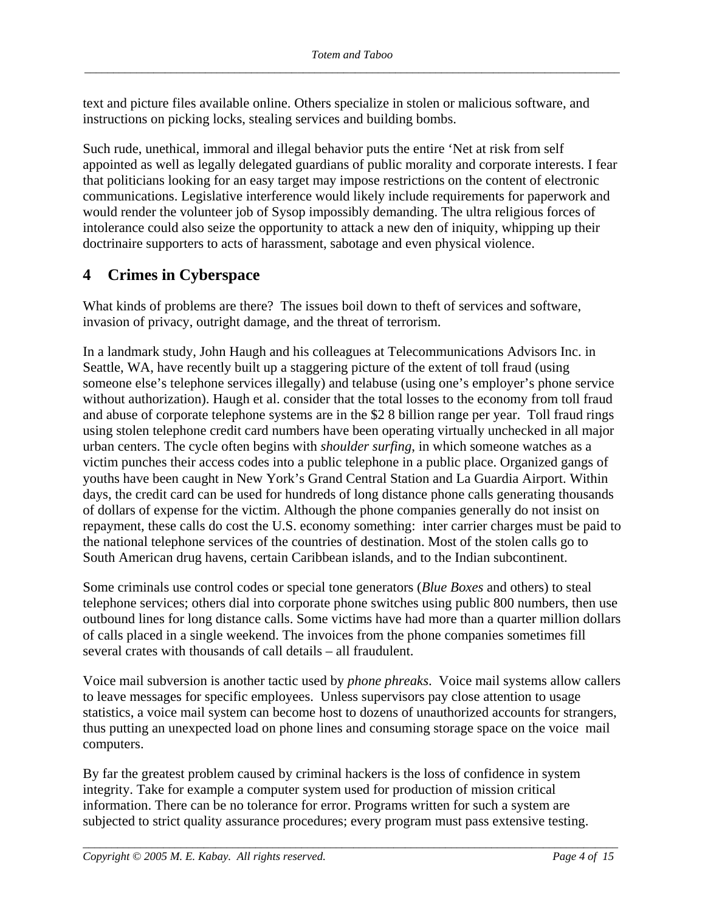text and picture files available online. Others specialize in stolen or malicious software, and instructions on picking locks, stealing services and building bombs.

Such rude, unethical, immoral and illegal behavior puts the entire 'Net at risk from self appointed as well as legally delegated guardians of public morality and corporate interests. I fear that politicians looking for an easy target may impose restrictions on the content of electronic communications. Legislative interference would likely include requirements for paperwork and would render the volunteer job of Sysop impossibly demanding. The ultra religious forces of intolerance could also seize the opportunity to attack a new den of iniquity, whipping up their doctrinaire supporters to acts of harassment, sabotage and even physical violence.

## **4 Crimes in Cyberspace**

What kinds of problems are there? The issues boil down to theft of services and software, invasion of privacy, outright damage, and the threat of terrorism.

In a landmark study, John Haugh and his colleagues at Telecommunications Advisors Inc. in Seattle, WA, have recently built up a staggering picture of the extent of toll fraud (using someone else's telephone services illegally) and telabuse (using one's employer's phone service without authorization). Haugh et al. consider that the total losses to the economy from toll fraud and abuse of corporate telephone systems are in the \$2 8 billion range per year. Toll fraud rings using stolen telephone credit card numbers have been operating virtually unchecked in all major urban centers. The cycle often begins with *shoulder surfing*, in which someone watches as a victim punches their access codes into a public telephone in a public place. Organized gangs of youths have been caught in New York's Grand Central Station and La Guardia Airport. Within days, the credit card can be used for hundreds of long distance phone calls generating thousands of dollars of expense for the victim. Although the phone companies generally do not insist on repayment, these calls do cost the U.S. economy something: inter carrier charges must be paid to the national telephone services of the countries of destination. Most of the stolen calls go to South American drug havens, certain Caribbean islands, and to the Indian subcontinent.

Some criminals use control codes or special tone generators (*Blue Boxes* and others) to steal telephone services; others dial into corporate phone switches using public 800 numbers, then use outbound lines for long distance calls. Some victims have had more than a quarter million dollars of calls placed in a single weekend. The invoices from the phone companies sometimes fill several crates with thousands of call details – all fraudulent.

Voice mail subversion is another tactic used by *phone phreaks*. Voice mail systems allow callers to leave messages for specific employees. Unless supervisors pay close attention to usage statistics, a voice mail system can become host to dozens of unauthorized accounts for strangers, thus putting an unexpected load on phone lines and consuming storage space on the voice mail computers.

By far the greatest problem caused by criminal hackers is the loss of confidence in system integrity. Take for example a computer system used for production of mission critical information. There can be no tolerance for error. Programs written for such a system are subjected to strict quality assurance procedures; every program must pass extensive testing.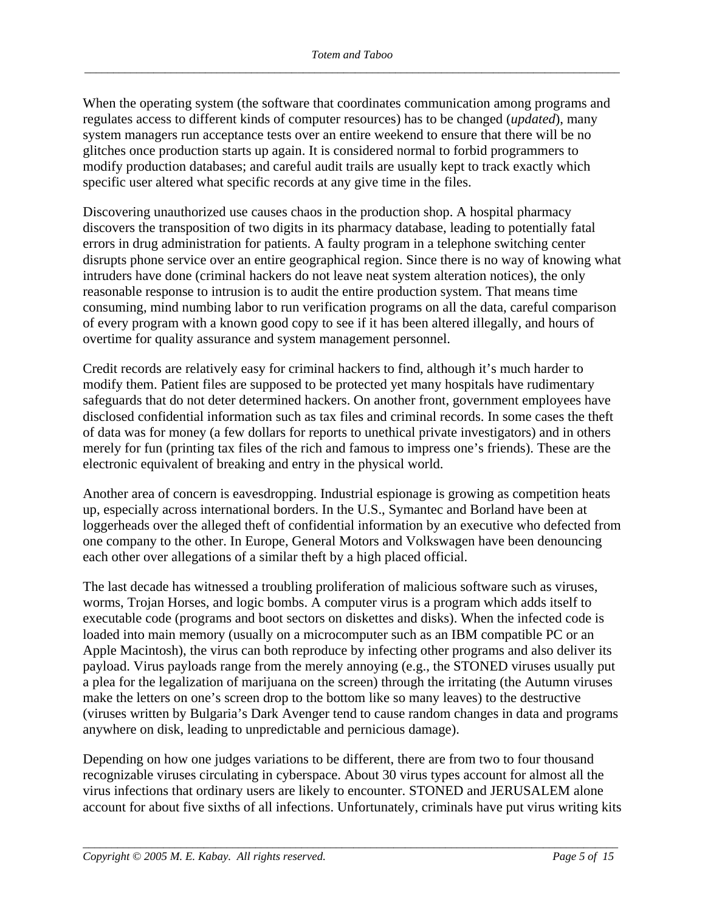When the operating system (the software that coordinates communication among programs and regulates access to different kinds of computer resources) has to be changed (*updated*), many system managers run acceptance tests over an entire weekend to ensure that there will be no glitches once production starts up again. It is considered normal to forbid programmers to modify production databases; and careful audit trails are usually kept to track exactly which specific user altered what specific records at any give time in the files.

Discovering unauthorized use causes chaos in the production shop. A hospital pharmacy discovers the transposition of two digits in its pharmacy database, leading to potentially fatal errors in drug administration for patients. A faulty program in a telephone switching center disrupts phone service over an entire geographical region. Since there is no way of knowing what intruders have done (criminal hackers do not leave neat system alteration notices), the only reasonable response to intrusion is to audit the entire production system. That means time consuming, mind numbing labor to run verification programs on all the data, careful comparison of every program with a known good copy to see if it has been altered illegally, and hours of overtime for quality assurance and system management personnel.

Credit records are relatively easy for criminal hackers to find, although it's much harder to modify them. Patient files are supposed to be protected yet many hospitals have rudimentary safeguards that do not deter determined hackers. On another front, government employees have disclosed confidential information such as tax files and criminal records. In some cases the theft of data was for money (a few dollars for reports to unethical private investigators) and in others merely for fun (printing tax files of the rich and famous to impress one's friends). These are the electronic equivalent of breaking and entry in the physical world.

Another area of concern is eavesdropping. Industrial espionage is growing as competition heats up, especially across international borders. In the U.S., Symantec and Borland have been at loggerheads over the alleged theft of confidential information by an executive who defected from one company to the other. In Europe, General Motors and Volkswagen have been denouncing each other over allegations of a similar theft by a high placed official.

The last decade has witnessed a troubling proliferation of malicious software such as viruses, worms, Trojan Horses, and logic bombs. A computer virus is a program which adds itself to executable code (programs and boot sectors on diskettes and disks). When the infected code is loaded into main memory (usually on a microcomputer such as an IBM compatible PC or an Apple Macintosh), the virus can both reproduce by infecting other programs and also deliver its payload. Virus payloads range from the merely annoying (e.g., the STONED viruses usually put a plea for the legalization of marijuana on the screen) through the irritating (the Autumn viruses make the letters on one's screen drop to the bottom like so many leaves) to the destructive (viruses written by Bulgaria's Dark Avenger tend to cause random changes in data and programs anywhere on disk, leading to unpredictable and pernicious damage).

Depending on how one judges variations to be different, there are from two to four thousand recognizable viruses circulating in cyberspace. About 30 virus types account for almost all the virus infections that ordinary users are likely to encounter. STONED and JERUSALEM alone account for about five sixths of all infections. Unfortunately, criminals have put virus writing kits

*\_\_\_\_\_\_\_\_\_\_\_\_\_\_\_\_\_\_\_\_\_\_\_\_\_\_\_\_\_\_\_\_\_\_\_\_\_\_\_\_\_\_\_\_\_\_\_\_\_\_\_\_\_\_\_\_\_\_\_\_\_\_\_\_\_\_\_\_\_\_\_\_\_\_\_\_\_\_\_\_\_\_\_\_\_\_\_\_\_\_\_\_\_*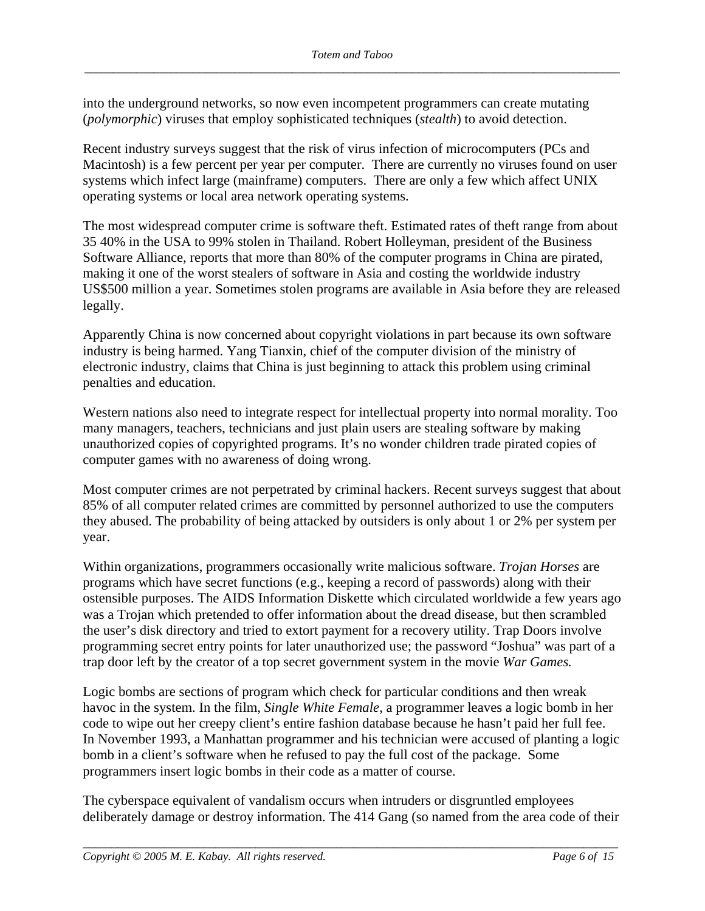into the underground networks, so now even incompetent programmers can create mutating (*polymorphic*) viruses that employ sophisticated techniques (*stealth*) to avoid detection.

Recent industry surveys suggest that the risk of virus infection of microcomputers (PCs and Macintosh) is a few percent per year per computer. There are currently no viruses found on user systems which infect large (mainframe) computers. There are only a few which affect UNIX operating systems or local area network operating systems.

The most widespread computer crime is software theft. Estimated rates of theft range from about 35 40% in the USA to 99% stolen in Thailand. Robert Holleyman, president of the Business Software Alliance, reports that more than 80% of the computer programs in China are pirated, making it one of the worst stealers of software in Asia and costing the worldwide industry US\$500 million a year. Sometimes stolen programs are available in Asia before they are released legally.

Apparently China is now concerned about copyright violations in part because its own software industry is being harmed. Yang Tianxin, chief of the computer division of the ministry of electronic industry, claims that China is just beginning to attack this problem using criminal penalties and education.

Western nations also need to integrate respect for intellectual property into normal morality. Too many managers, teachers, technicians and just plain users are stealing software by making unauthorized copies of copyrighted programs. It's no wonder children trade pirated copies of computer games with no awareness of doing wrong.

Most computer crimes are not perpetrated by criminal hackers. Recent surveys suggest that about 85% of all computer related crimes are committed by personnel authorized to use the computers they abused. The probability of being attacked by outsiders is only about 1 or 2% per system per year.

Within organizations, programmers occasionally write malicious software. *Trojan Horses* are programs which have secret functions (e.g., keeping a record of passwords) along with their ostensible purposes. The AIDS Information Diskette which circulated worldwide a few years ago was a Trojan which pretended to offer information about the dread disease, but then scrambled the user's disk directory and tried to extort payment for a recovery utility. Trap Doors involve programming secret entry points for later unauthorized use; the password "Joshua" was part of a trap door left by the creator of a top secret government system in the movie *War Games.*

Logic bombs are sections of program which check for particular conditions and then wreak havoc in the system. In the film, *Single White Female*, a programmer leaves a logic bomb in her code to wipe out her creepy client's entire fashion database because he hasn't paid her full fee. In November 1993, a Manhattan programmer and his technician were accused of planting a logic bomb in a client's software when he refused to pay the full cost of the package. Some programmers insert logic bombs in their code as a matter of course.

The cyberspace equivalent of vandalism occurs when intruders or disgruntled employees deliberately damage or destroy information. The 414 Gang (so named from the area code of their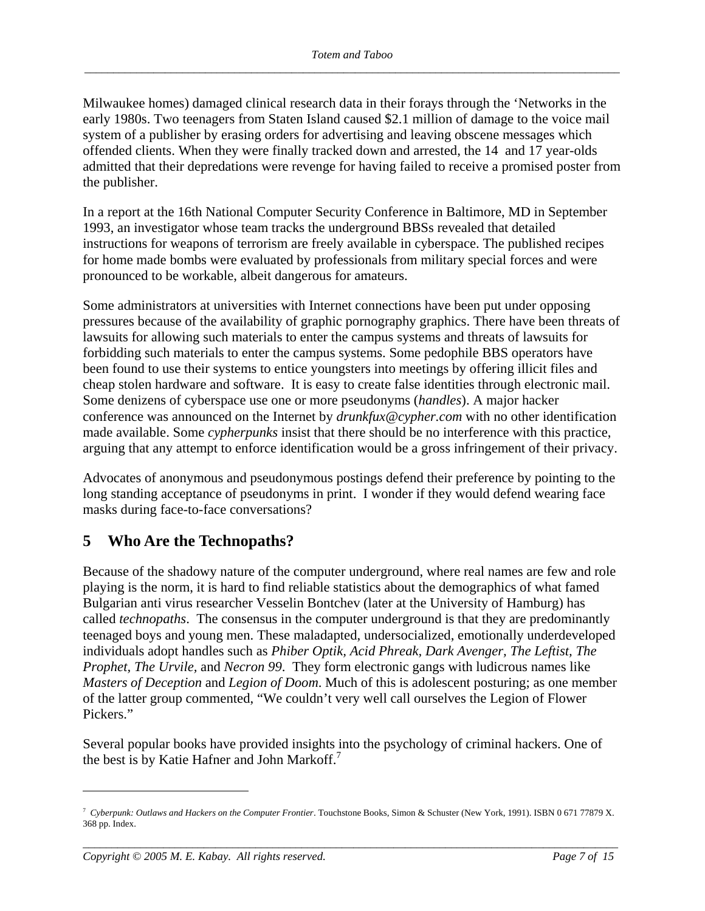Milwaukee homes) damaged clinical research data in their forays through the 'Networks in the early 1980s. Two teenagers from Staten Island caused \$2.1 million of damage to the voice mail system of a publisher by erasing orders for advertising and leaving obscene messages which offended clients. When they were finally tracked down and arrested, the 14 and 17 year-olds admitted that their depredations were revenge for having failed to receive a promised poster from the publisher.

In a report at the 16th National Computer Security Conference in Baltimore, MD in September 1993, an investigator whose team tracks the underground BBSs revealed that detailed instructions for weapons of terrorism are freely available in cyberspace. The published recipes for home made bombs were evaluated by professionals from military special forces and were pronounced to be workable, albeit dangerous for amateurs.

Some administrators at universities with Internet connections have been put under opposing pressures because of the availability of graphic pornography graphics. There have been threats of lawsuits for allowing such materials to enter the campus systems and threats of lawsuits for forbidding such materials to enter the campus systems. Some pedophile BBS operators have been found to use their systems to entice youngsters into meetings by offering illicit files and cheap stolen hardware and software. It is easy to create false identities through electronic mail. Some denizens of cyberspace use one or more pseudonyms (*handles*). A major hacker conference was announced on the Internet by *drunkfux@cypher.com* with no other identification made available. Some *cypherpunks* insist that there should be no interference with this practice, arguing that any attempt to enforce identification would be a gross infringement of their privacy.

Advocates of anonymous and pseudonymous postings defend their preference by pointing to the long standing acceptance of pseudonyms in print. I wonder if they would defend wearing face masks during face-to-face conversations?

## **5 Who Are the Technopaths?**

Because of the shadowy nature of the computer underground, where real names are few and role playing is the norm, it is hard to find reliable statistics about the demographics of what famed Bulgarian anti virus researcher Vesselin Bontchev (later at the University of Hamburg) has called *technopaths*. The consensus in the computer underground is that they are predominantly teenaged boys and young men. These maladapted, undersocialized, emotionally underdeveloped individuals adopt handles such as *Phiber Optik, Acid Phreak, Dark Avenger, The Leftist, The Prophet, The Urvile,* and *Necron 99*. They form electronic gangs with ludicrous names like *Masters of Deception* and *Legion of Doom*. Much of this is adolescent posturing; as one member of the latter group commented, "We couldn't very well call ourselves the Legion of Flower Pickers."

Several popular books have provided insights into the psychology of criminal hackers. One of the best is by Katie Hafner and John Markoff.<sup>7</sup>

*\_\_\_\_\_\_\_\_\_\_\_\_\_\_\_\_\_\_\_\_\_\_\_\_\_\_\_\_\_\_\_\_\_\_\_\_\_\_\_\_\_\_\_\_\_\_\_\_\_\_\_\_\_\_\_\_\_\_\_\_\_\_\_\_\_\_\_\_\_\_\_\_\_\_\_\_\_\_\_\_\_\_\_\_\_\_\_\_\_\_\_\_\_* 

<sup>7</sup> *Cyberpunk: Outlaws and Hackers on the Computer Frontier*. Touchstone Books, Simon & Schuster (New York, 1991). ISBN 0 671 77879 X. 368 pp. Index.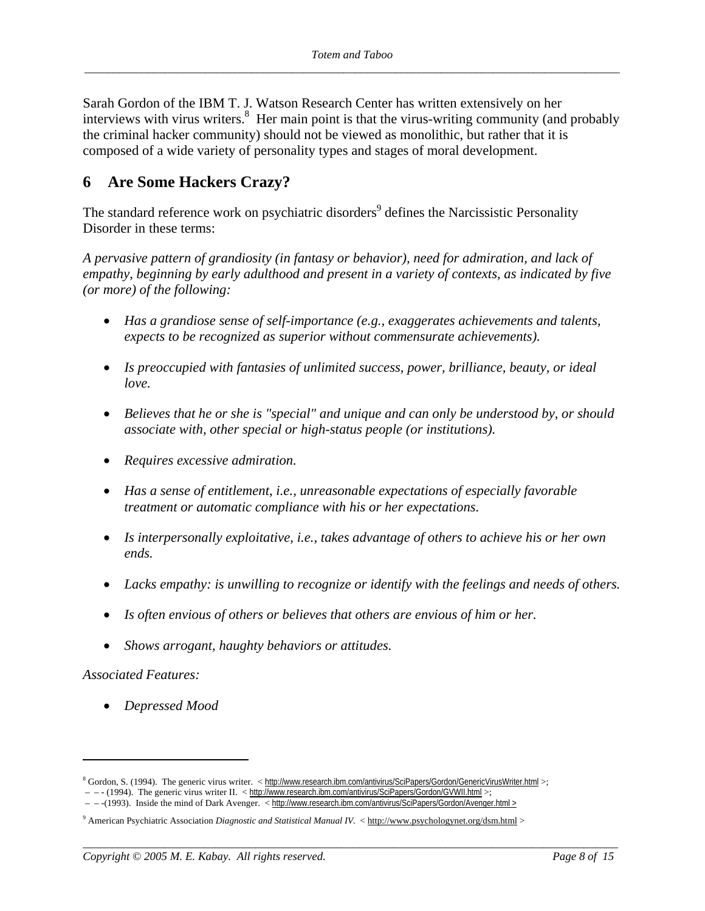Sarah Gordon of the IBM T. J. Watson Research Center has written extensively on her interviews with virus writers.<sup>8</sup> Her main point is that the virus-writing community (and probably the criminal hacker community) should not be viewed as monolithic, but rather that it is composed of a wide variety of personality types and stages of moral development.

## **6 Are Some Hackers Crazy?**

The standard reference work on psychiatric disorders<sup>9</sup> defines the Narcissistic Personality Disorder in these terms:

*A pervasive pattern of grandiosity (in fantasy or behavior), need for admiration, and lack of empathy, beginning by early adulthood and present in a variety of contexts, as indicated by five (or more) of the following:* 

- *Has a grandiose sense of self-importance (e.g., exaggerates achievements and talents, expects to be recognized as superior without commensurate achievements).*
- *Is preoccupied with fantasies of unlimited success, power, brilliance, beauty, or ideal love.*
- *Believes that he or she is "special" and unique and can only be understood by, or should associate with, other special or high-status people (or institutions).*
- *Requires excessive admiration.*
- *Has a sense of entitlement, i.e., unreasonable expectations of especially favorable treatment or automatic compliance with his or her expectations.*
- *Is interpersonally exploitative, i.e., takes advantage of others to achieve his or her own ends.*
- *Lacks empathy: is unwilling to recognize or identify with the feelings and needs of others.*
- *Is often envious of others or believes that others are envious of him or her.*
- *Shows arrogant, haughty behaviors or attitudes.*

#### *Associated Features:*

 $\overline{a}$ 

• *Depressed Mood* 

*\_\_\_\_\_\_\_\_\_\_\_\_\_\_\_\_\_\_\_\_\_\_\_\_\_\_\_\_\_\_\_\_\_\_\_\_\_\_\_\_\_\_\_\_\_\_\_\_\_\_\_\_\_\_\_\_\_\_\_\_\_\_\_\_\_\_\_\_\_\_\_\_\_\_\_\_\_\_\_\_\_\_\_\_\_\_\_\_\_\_\_\_\_* 

<sup>&</sup>lt;sup>8</sup> Gordon, S. (1994). The generic virus writer. < http://www.research.ibm.com/antivirus/SciPapers/Gordon/GenericVirusWriter.html >; – – - (1994). The generic virus writer II. < http://www.research.ibm.com/antivirus/SciPapers/Gordon/GVWII.html >;

 <sup>– – -(1993).</sup> Inside the mind of Dark Avenger. < http://www.research.ibm.com/antivirus/SciPapers/Gordon/Avenger.html >

<sup>&</sup>lt;sup>9</sup> American Psychiatric Association *Diagnostic and Statistical Manual IV.* < http://www.psychologynet.org/dsm.html >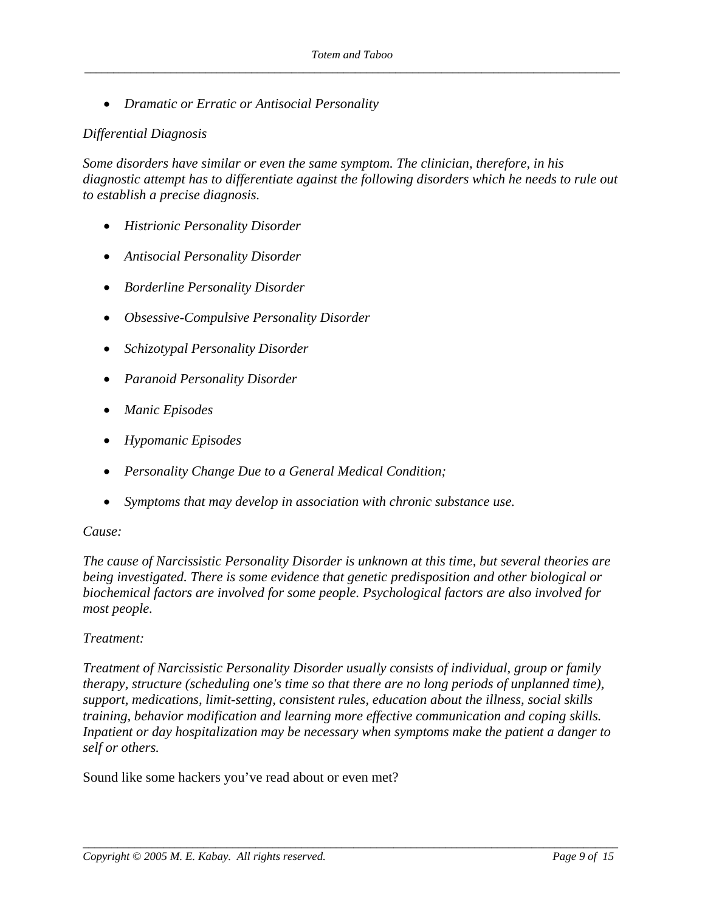• *Dramatic or Erratic or Antisocial Personality* 

#### *Differential Diagnosis*

*Some disorders have similar or even the same symptom. The clinician, therefore, in his diagnostic attempt has to differentiate against the following disorders which he needs to rule out to establish a precise diagnosis.* 

- *Histrionic Personality Disorder*
- *Antisocial Personality Disorder*
- *Borderline Personality Disorder*
- *Obsessive-Compulsive Personality Disorder*
- *Schizotypal Personality Disorder*
- *Paranoid Personality Disorder*
- *Manic Episodes*
- *Hypomanic Episodes*
- *Personality Change Due to a General Medical Condition;*
- *Symptoms that may develop in association with chronic substance use.*

#### *Cause:*

*The cause of Narcissistic Personality Disorder is unknown at this time, but several theories are being investigated. There is some evidence that genetic predisposition and other biological or biochemical factors are involved for some people. Psychological factors are also involved for most people.* 

#### *Treatment:*

*Treatment of Narcissistic Personality Disorder usually consists of individual, group or family therapy, structure (scheduling one's time so that there are no long periods of unplanned time), support, medications, limit-setting, consistent rules, education about the illness, social skills training, behavior modification and learning more effective communication and coping skills. Inpatient or day hospitalization may be necessary when symptoms make the patient a danger to self or others.*

*\_\_\_\_\_\_\_\_\_\_\_\_\_\_\_\_\_\_\_\_\_\_\_\_\_\_\_\_\_\_\_\_\_\_\_\_\_\_\_\_\_\_\_\_\_\_\_\_\_\_\_\_\_\_\_\_\_\_\_\_\_\_\_\_\_\_\_\_\_\_\_\_\_\_\_\_\_\_\_\_\_\_\_\_\_\_\_\_\_\_\_\_\_* 

Sound like some hackers you've read about or even met?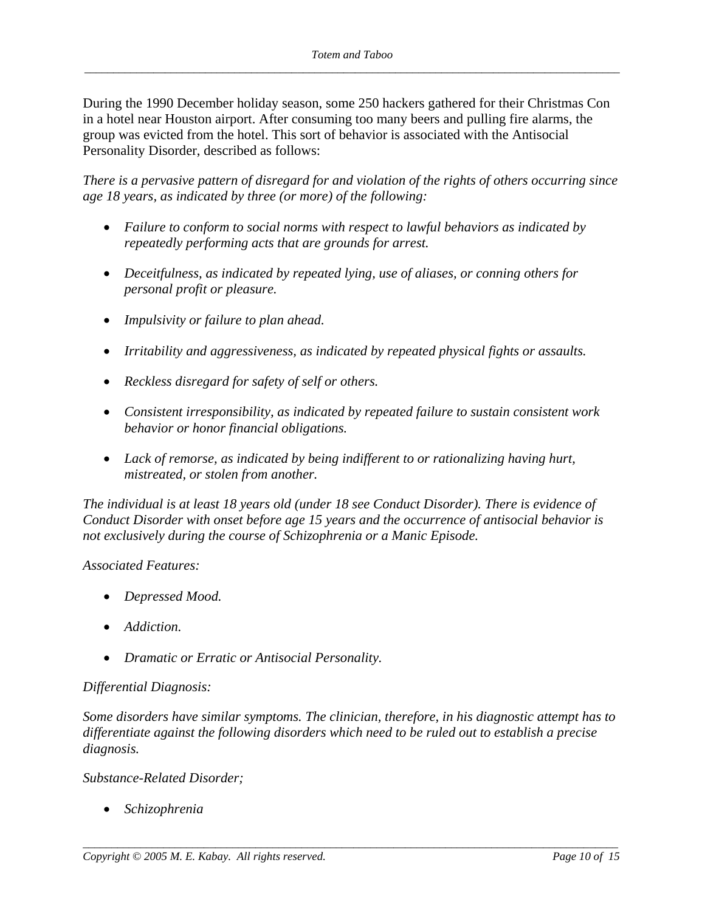During the 1990 December holiday season, some 250 hackers gathered for their Christmas Con in a hotel near Houston airport. After consuming too many beers and pulling fire alarms, the group was evicted from the hotel. This sort of behavior is associated with the Antisocial Personality Disorder, described as follows:

*There is a pervasive pattern of disregard for and violation of the rights of others occurring since age 18 years, as indicated by three (or more) of the following:* 

- *Failure to conform to social norms with respect to lawful behaviors as indicated by repeatedly performing acts that are grounds for arrest.*
- *Deceitfulness, as indicated by repeated lying, use of aliases, or conning others for personal profit or pleasure.*
- *Impulsivity or failure to plan ahead.*
- *Irritability and aggressiveness, as indicated by repeated physical fights or assaults.*
- *Reckless disregard for safety of self or others.*
- *Consistent irresponsibility, as indicated by repeated failure to sustain consistent work behavior or honor financial obligations.*
- *Lack of remorse, as indicated by being indifferent to or rationalizing having hurt, mistreated, or stolen from another.*

*The individual is at least 18 years old (under 18 see Conduct Disorder). There is evidence of Conduct Disorder with onset before age 15 years and the occurrence of antisocial behavior is not exclusively during the course of Schizophrenia or a Manic Episode.* 

#### *Associated Features:*

- *Depressed Mood.*
- *Addiction.*
- *Dramatic or Erratic or Antisocial Personality.*

#### *Differential Diagnosis:*

*Some disorders have similar symptoms. The clinician, therefore, in his diagnostic attempt has to differentiate against the following disorders which need to be ruled out to establish a precise diagnosis.* 

*\_\_\_\_\_\_\_\_\_\_\_\_\_\_\_\_\_\_\_\_\_\_\_\_\_\_\_\_\_\_\_\_\_\_\_\_\_\_\_\_\_\_\_\_\_\_\_\_\_\_\_\_\_\_\_\_\_\_\_\_\_\_\_\_\_\_\_\_\_\_\_\_\_\_\_\_\_\_\_\_\_\_\_\_\_\_\_\_\_\_\_\_\_* 

#### *Substance-Related Disorder;*

• *Schizophrenia*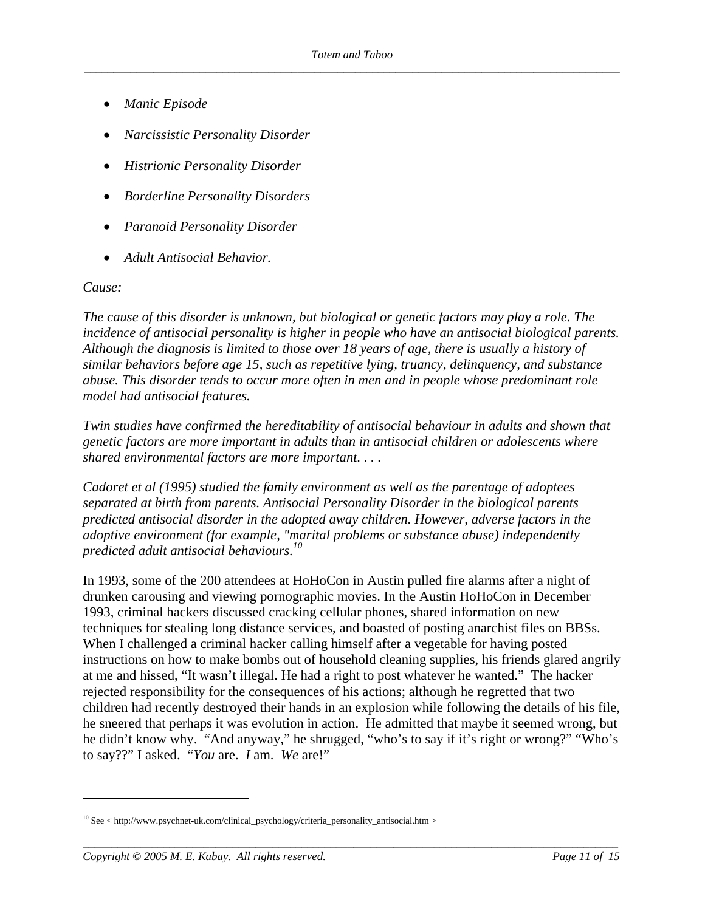- *Manic Episode*
- *Narcissistic Personality Disorder*
- *Histrionic Personality Disorder*
- *Borderline Personality Disorders*
- *Paranoid Personality Disorder*
- *Adult Antisocial Behavior.*

#### *Cause:*

 $\overline{a}$ 

*The cause of this disorder is unknown, but biological or genetic factors may play a role. The incidence of antisocial personality is higher in people who have an antisocial biological parents. Although the diagnosis is limited to those over 18 years of age, there is usually a history of similar behaviors before age 15, such as repetitive lying, truancy, delinquency, and substance abuse. This disorder tends to occur more often in men and in people whose predominant role model had antisocial features.* 

*Twin studies have confirmed the hereditability of antisocial behaviour in adults and shown that genetic factors are more important in adults than in antisocial children or adolescents where shared environmental factors are more important. . . .* 

*Cadoret et al (1995) studied the family environment as well as the parentage of adoptees separated at birth from parents. Antisocial Personality Disorder in the biological parents predicted antisocial disorder in the adopted away children. However, adverse factors in the adoptive environment (for example, "marital problems or substance abuse) independently predicted adult antisocial behaviours.10* 

In 1993, some of the 200 attendees at HoHoCon in Austin pulled fire alarms after a night of drunken carousing and viewing pornographic movies. In the Austin HoHoCon in December 1993, criminal hackers discussed cracking cellular phones, shared information on new techniques for stealing long distance services, and boasted of posting anarchist files on BBSs. When I challenged a criminal hacker calling himself after a vegetable for having posted instructions on how to make bombs out of household cleaning supplies, his friends glared angrily at me and hissed, "It wasn't illegal. He had a right to post whatever he wanted." The hacker rejected responsibility for the consequences of his actions; although he regretted that two children had recently destroyed their hands in an explosion while following the details of his file, he sneered that perhaps it was evolution in action. He admitted that maybe it seemed wrong, but he didn't know why. "And anyway," he shrugged, "who's to say if it's right or wrong?" "Who's to say??" I asked. "*You* are. *I* am. *We* are!"

*\_\_\_\_\_\_\_\_\_\_\_\_\_\_\_\_\_\_\_\_\_\_\_\_\_\_\_\_\_\_\_\_\_\_\_\_\_\_\_\_\_\_\_\_\_\_\_\_\_\_\_\_\_\_\_\_\_\_\_\_\_\_\_\_\_\_\_\_\_\_\_\_\_\_\_\_\_\_\_\_\_\_\_\_\_\_\_\_\_\_\_\_\_* 

<sup>&</sup>lt;sup>10</sup> See < http://www.psychnet-uk.com/clinical\_psychology/criteria\_personality\_antisocial.htm >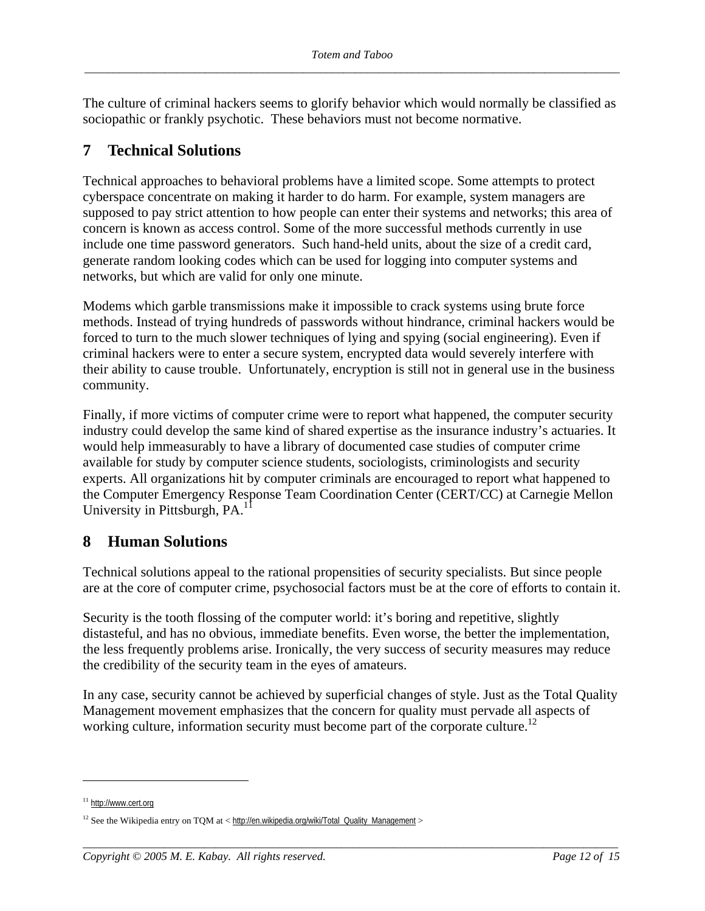The culture of criminal hackers seems to glorify behavior which would normally be classified as sociopathic or frankly psychotic. These behaviors must not become normative.

## **7 Technical Solutions**

Technical approaches to behavioral problems have a limited scope. Some attempts to protect cyberspace concentrate on making it harder to do harm. For example, system managers are supposed to pay strict attention to how people can enter their systems and networks; this area of concern is known as access control. Some of the more successful methods currently in use include one time password generators. Such hand-held units, about the size of a credit card, generate random looking codes which can be used for logging into computer systems and networks, but which are valid for only one minute.

Modems which garble transmissions make it impossible to crack systems using brute force methods. Instead of trying hundreds of passwords without hindrance, criminal hackers would be forced to turn to the much slower techniques of lying and spying (social engineering). Even if criminal hackers were to enter a secure system, encrypted data would severely interfere with their ability to cause trouble. Unfortunately, encryption is still not in general use in the business community.

Finally, if more victims of computer crime were to report what happened, the computer security industry could develop the same kind of shared expertise as the insurance industry's actuaries. It would help immeasurably to have a library of documented case studies of computer crime available for study by computer science students, sociologists, criminologists and security experts. All organizations hit by computer criminals are encouraged to report what happened to the Computer Emergency Response Team Coordination Center (CERT/CC) at Carnegie Mellon University in Pittsburgh, PA.<sup>1</sup>

## **8 Human Solutions**

Technical solutions appeal to the rational propensities of security specialists. But since people are at the core of computer crime, psychosocial factors must be at the core of efforts to contain it.

Security is the tooth flossing of the computer world: it's boring and repetitive, slightly distasteful, and has no obvious, immediate benefits. Even worse, the better the implementation, the less frequently problems arise. Ironically, the very success of security measures may reduce the credibility of the security team in the eyes of amateurs.

In any case, security cannot be achieved by superficial changes of style. Just as the Total Quality Management movement emphasizes that the concern for quality must pervade all aspects of working culture, information security must become part of the corporate culture.<sup>12</sup>

*\_\_\_\_\_\_\_\_\_\_\_\_\_\_\_\_\_\_\_\_\_\_\_\_\_\_\_\_\_\_\_\_\_\_\_\_\_\_\_\_\_\_\_\_\_\_\_\_\_\_\_\_\_\_\_\_\_\_\_\_\_\_\_\_\_\_\_\_\_\_\_\_\_\_\_\_\_\_\_\_\_\_\_\_\_\_\_\_\_\_\_\_\_* 

<sup>11</sup> http://www.cert.org

 $12$  See the Wikipedia entry on TQM at < http://en.wikipedia.org/wiki/Total\_Quality\_Management >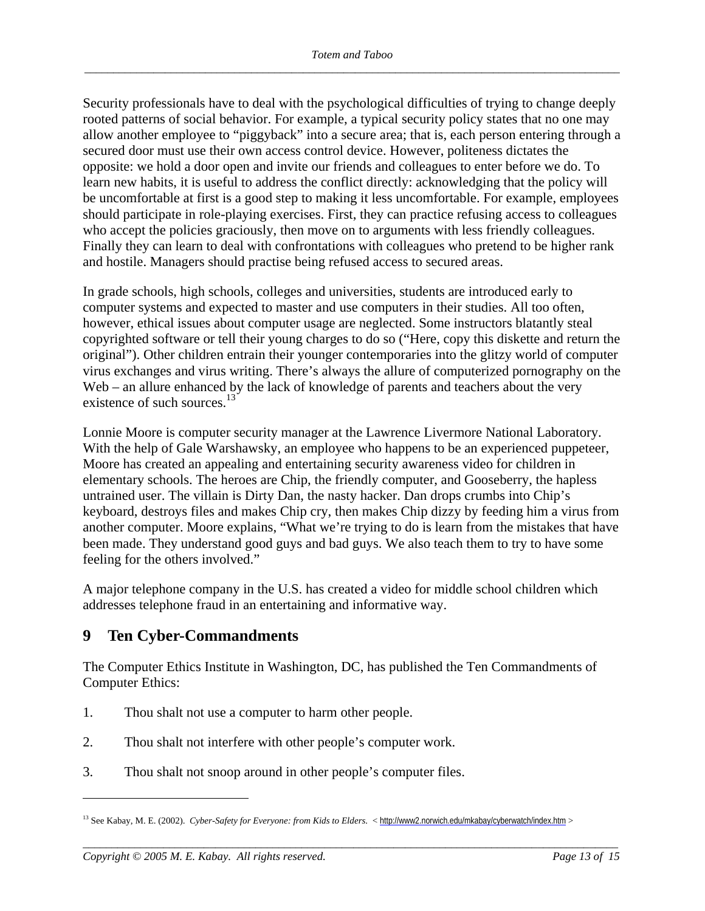Security professionals have to deal with the psychological difficulties of trying to change deeply rooted patterns of social behavior. For example, a typical security policy states that no one may allow another employee to "piggyback" into a secure area; that is, each person entering through a secured door must use their own access control device. However, politeness dictates the opposite: we hold a door open and invite our friends and colleagues to enter before we do. To learn new habits, it is useful to address the conflict directly: acknowledging that the policy will be uncomfortable at first is a good step to making it less uncomfortable. For example, employees should participate in role-playing exercises. First, they can practice refusing access to colleagues who accept the policies graciously, then move on to arguments with less friendly colleagues. Finally they can learn to deal with confrontations with colleagues who pretend to be higher rank and hostile. Managers should practise being refused access to secured areas.

In grade schools, high schools, colleges and universities, students are introduced early to computer systems and expected to master and use computers in their studies. All too often, however, ethical issues about computer usage are neglected. Some instructors blatantly steal copyrighted software or tell their young charges to do so ("Here, copy this diskette and return the original"). Other children entrain their younger contemporaries into the glitzy world of computer virus exchanges and virus writing. There's always the allure of computerized pornography on the Web – an allure enhanced by the lack of knowledge of parents and teachers about the very existence of such sources.<sup>13</sup>

Lonnie Moore is computer security manager at the Lawrence Livermore National Laboratory. With the help of Gale Warshawsky, an employee who happens to be an experienced puppeteer, Moore has created an appealing and entertaining security awareness video for children in elementary schools. The heroes are Chip, the friendly computer, and Gooseberry, the hapless untrained user. The villain is Dirty Dan, the nasty hacker. Dan drops crumbs into Chip's keyboard, destroys files and makes Chip cry, then makes Chip dizzy by feeding him a virus from another computer. Moore explains, "What we're trying to do is learn from the mistakes that have been made. They understand good guys and bad guys. We also teach them to try to have some feeling for the others involved."

A major telephone company in the U.S. has created a video for middle school children which addresses telephone fraud in an entertaining and informative way.

## **9 Ten Cyber-Commandments**

The Computer Ethics Institute in Washington, DC, has published the Ten Commandments of Computer Ethics:

- 1. Thou shalt not use a computer to harm other people.
- 2. Thou shalt not interfere with other people's computer work.
- 3. Thou shalt not snoop around in other people's computer files.

*\_\_\_\_\_\_\_\_\_\_\_\_\_\_\_\_\_\_\_\_\_\_\_\_\_\_\_\_\_\_\_\_\_\_\_\_\_\_\_\_\_\_\_\_\_\_\_\_\_\_\_\_\_\_\_\_\_\_\_\_\_\_\_\_\_\_\_\_\_\_\_\_\_\_\_\_\_\_\_\_\_\_\_\_\_\_\_\_\_\_\_\_\_* 

<sup>&</sup>lt;sup>13</sup> See Kabay, M. E. (2002). *Cyber-Safety for Everyone: from Kids to Elders.* < http://www2.norwich.edu/mkabay/cyberwatch/index.htm >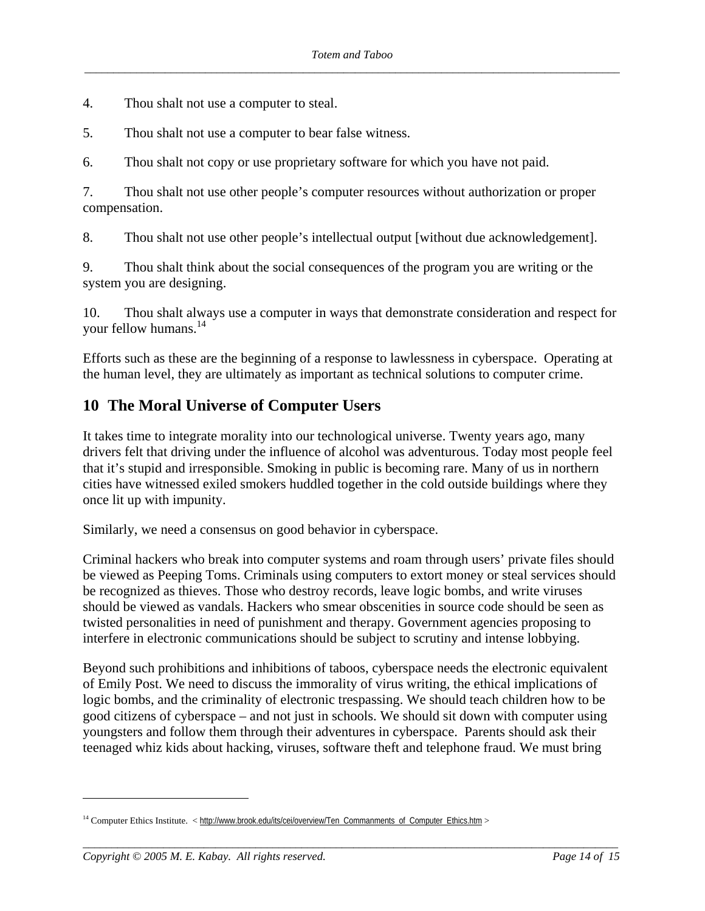- 4. Thou shalt not use a computer to steal.
- 5. Thou shalt not use a computer to bear false witness.

6. Thou shalt not copy or use proprietary software for which you have not paid.

7. Thou shalt not use other people's computer resources without authorization or proper compensation.

8. Thou shalt not use other people's intellectual output [without due acknowledgement].

9. Thou shalt think about the social consequences of the program you are writing or the system you are designing.

10. Thou shalt always use a computer in ways that demonstrate consideration and respect for your fellow humans.<sup>14</sup>

Efforts such as these are the beginning of a response to lawlessness in cyberspace. Operating at the human level, they are ultimately as important as technical solutions to computer crime.

## **10 The Moral Universe of Computer Users**

It takes time to integrate morality into our technological universe. Twenty years ago, many drivers felt that driving under the influence of alcohol was adventurous. Today most people feel that it's stupid and irresponsible. Smoking in public is becoming rare. Many of us in northern cities have witnessed exiled smokers huddled together in the cold outside buildings where they once lit up with impunity.

Similarly, we need a consensus on good behavior in cyberspace.

Criminal hackers who break into computer systems and roam through users' private files should be viewed as Peeping Toms. Criminals using computers to extort money or steal services should be recognized as thieves. Those who destroy records, leave logic bombs, and write viruses should be viewed as vandals. Hackers who smear obscenities in source code should be seen as twisted personalities in need of punishment and therapy. Government agencies proposing to interfere in electronic communications should be subject to scrutiny and intense lobbying.

Beyond such prohibitions and inhibitions of taboos, cyberspace needs the electronic equivalent of Emily Post. We need to discuss the immorality of virus writing, the ethical implications of logic bombs, and the criminality of electronic trespassing. We should teach children how to be good citizens of cyberspace – and not just in schools. We should sit down with computer using youngsters and follow them through their adventures in cyberspace. Parents should ask their teenaged whiz kids about hacking, viruses, software theft and telephone fraud. We must bring

*\_\_\_\_\_\_\_\_\_\_\_\_\_\_\_\_\_\_\_\_\_\_\_\_\_\_\_\_\_\_\_\_\_\_\_\_\_\_\_\_\_\_\_\_\_\_\_\_\_\_\_\_\_\_\_\_\_\_\_\_\_\_\_\_\_\_\_\_\_\_\_\_\_\_\_\_\_\_\_\_\_\_\_\_\_\_\_\_\_\_\_\_\_* 

1

<sup>&</sup>lt;sup>14</sup> Computer Ethics Institute. < http://www.brook.edu/its/cei/overview/Ten\_Commanments\_of\_Computer\_Ethics.htm >